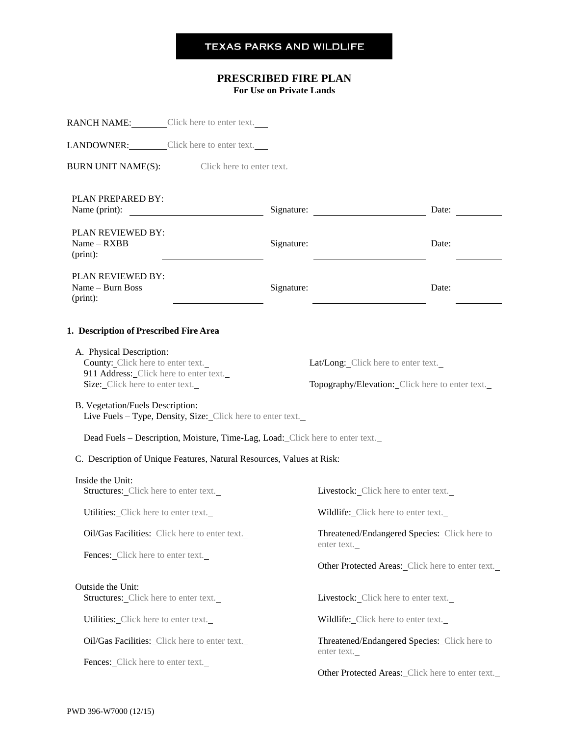# **TEXAS PARKS AND WILDLIFE**

# **PRESCRIBED FIRE PLAN**

**For Use on Private Lands**

|                                                                                                         | <b>RANCH NAME:</b> Click here to enter text.                                                                                                                                                                                         |            |                                                             |       |  |
|---------------------------------------------------------------------------------------------------------|--------------------------------------------------------------------------------------------------------------------------------------------------------------------------------------------------------------------------------------|------------|-------------------------------------------------------------|-------|--|
|                                                                                                         | LANDOWNER: Click here to enter text.                                                                                                                                                                                                 |            |                                                             |       |  |
|                                                                                                         | <b>BURN UNIT NAME(S):</b> Click here to enter text.                                                                                                                                                                                  |            |                                                             |       |  |
| PLAN PREPARED BY:<br>Name (print):                                                                      | <u>and the contract of the contract of the contract of the contract of the contract of the contract of the contract of the contract of the contract of the contract of the contract of the contract of the contract of the contr</u> |            |                                                             | Date: |  |
| PLAN REVIEWED BY:<br>$Name - RXBB$<br>$(print)$ :                                                       |                                                                                                                                                                                                                                      | Signature: |                                                             | Date: |  |
| PLAN REVIEWED BY:<br>Name - Burn Boss<br>$(print)$ :                                                    |                                                                                                                                                                                                                                      | Signature: |                                                             | Date: |  |
| 1. Description of Prescribed Fire Area                                                                  |                                                                                                                                                                                                                                      |            |                                                             |       |  |
| A. Physical Description:<br>County: Click here to enter text.<br>911 Address: Click here to enter text. |                                                                                                                                                                                                                                      |            | Lat/Long: Click here to enter text.                         |       |  |
| Size: Click here to enter text.                                                                         |                                                                                                                                                                                                                                      |            | Topography/Elevation: Click here to enter text.             |       |  |
| B. Vegetation/Fuels Description:                                                                        | Live Fuels - Type, Density, Size: Click here to enter text.                                                                                                                                                                          |            |                                                             |       |  |
|                                                                                                         | Dead Fuels - Description, Moisture, Time-Lag, Load: Click here to enter text.                                                                                                                                                        |            |                                                             |       |  |
|                                                                                                         | C. Description of Unique Features, Natural Resources, Values at Risk:                                                                                                                                                                |            |                                                             |       |  |
| Inside the Unit:<br><b>Structures:</b> Click here to enter text.                                        |                                                                                                                                                                                                                                      |            | Livestock: Click here to enter text.                        |       |  |
| Utilities: Click here to enter text.                                                                    |                                                                                                                                                                                                                                      |            | Wildlife: Click here to enter text.                         |       |  |
|                                                                                                         | Oil/Gas Facilities: Click here to enter text.                                                                                                                                                                                        |            | Threatened/Endangered Species: Click here to<br>enter text. |       |  |
| Fences: Click here to enter text.                                                                       |                                                                                                                                                                                                                                      |            | Other Protected Areas: Click here to enter text.            |       |  |
| Outside the Unit:<br>Structures: Click here to enter text.                                              |                                                                                                                                                                                                                                      |            | Livestock: Click here to enter text.                        |       |  |
| Utilities: Click here to enter text.                                                                    |                                                                                                                                                                                                                                      |            | Wildlife: Click here to enter text.                         |       |  |
|                                                                                                         | Oil/Gas Facilities: Click here to enter text.                                                                                                                                                                                        |            | Threatened/Endangered Species: Click here to<br>enter text. |       |  |
| Fences: Click here to enter text.                                                                       |                                                                                                                                                                                                                                      |            | Other Protected Areas: Click here to enter text.            |       |  |
|                                                                                                         |                                                                                                                                                                                                                                      |            |                                                             |       |  |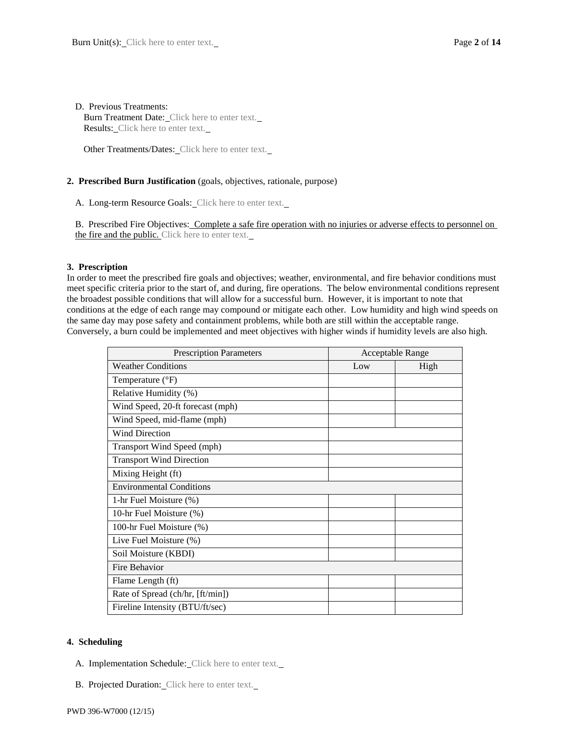#### D. Previous Treatments:

Burn Treatment Date: Click here to enter text. Results: Click here to enter text.

Other Treatments/Dates: Click here to enter text.

# **2. Prescribed Burn Justification** (goals, objectives, rationale, purpose)

A. Long-term Resource Goals: Click here to enter text.

B. Prescribed Fire Objectives: Complete a safe fire operation with no injuries or adverse effects to personnel on the fire and the public. Click here to enter text.

# **3. Prescription**

In order to meet the prescribed fire goals and objectives; weather, environmental, and fire behavior conditions must meet specific criteria prior to the start of, and during, fire operations. The below environmental conditions represent the broadest possible conditions that will allow for a successful burn. However, it is important to note that conditions at the edge of each range may compound or mitigate each other. Low humidity and high wind speeds on the same day may pose safety and containment problems, while both are still within the acceptable range. Conversely, a burn could be implemented and meet objectives with higher winds if humidity levels are also high.

| <b>Prescription Parameters</b>   | <b>Acceptable Range</b> |      |
|----------------------------------|-------------------------|------|
| <b>Weather Conditions</b>        | Low                     | High |
| Temperature $(^{\circ}F)$        |                         |      |
| Relative Humidity (%)            |                         |      |
| Wind Speed, 20-ft forecast (mph) |                         |      |
| Wind Speed, mid-flame (mph)      |                         |      |
| <b>Wind Direction</b>            |                         |      |
| Transport Wind Speed (mph)       |                         |      |
| <b>Transport Wind Direction</b>  |                         |      |
| Mixing Height (ft)               |                         |      |
| <b>Environmental Conditions</b>  |                         |      |
| 1-hr Fuel Moisture (%)           |                         |      |
| 10-hr Fuel Moisture (%)          |                         |      |
| 100-hr Fuel Moisture (%)         |                         |      |
| Live Fuel Moisture (%)           |                         |      |
| Soil Moisture (KBDI)             |                         |      |
| Fire Behavior                    |                         |      |
| Flame Length (ft)                |                         |      |
| Rate of Spread (ch/hr, [ft/min]) |                         |      |
| Fireline Intensity (BTU/ft/sec)  |                         |      |

# **4. Scheduling**

- A. Implementation Schedule: Click here to enter text.
- B. Projected Duration: Click here to enter text.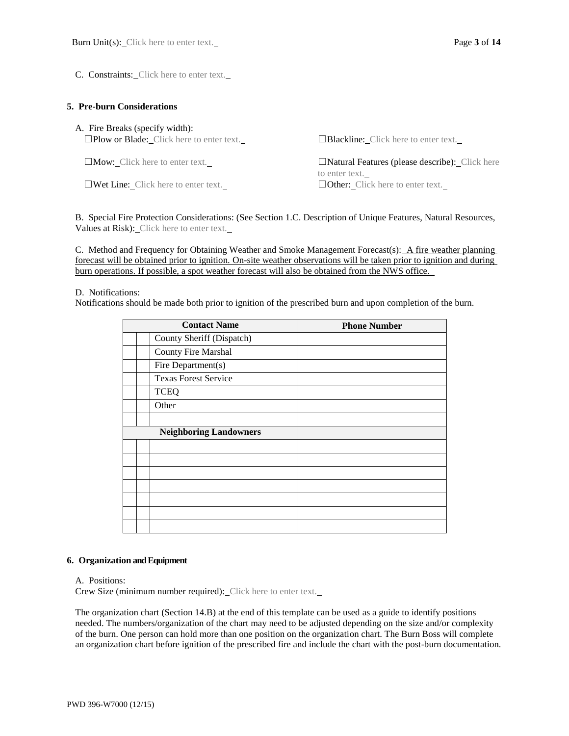C. Constraints: Click here to enter text.

#### **5. Pre-burn Considerations**

| A. Fire Breaks (specify width):<br>$\square$ Plow or Blade: Click here to enter text. | $\Box$ <b>Blackline:</b> Click here to enter text.           |
|---------------------------------------------------------------------------------------|--------------------------------------------------------------|
| $\Box$ Mow: Click here to enter text.                                                 | $\Box$ Natural Features (please describe): $\Box$ Click here |
| $\square$ Wet Line: Click here to enter text.                                         | to enter text.<br>$\Box$ Other: Click here to enter text.    |

B. Special Fire Protection Considerations: (See Section 1.C. Description of Unique Features, Natural Resources, Values at Risk): Click here to enter text.

C. Method and Frequency for Obtaining Weather and Smoke Management Forecast(s): A fire weather planning forecast will be obtained prior to ignition. On-site weather observations will be taken prior to ignition and during burn operations. If possible, a spot weather forecast will also be obtained from the NWS office.

#### D. Notifications:

Notifications should be made both prior to ignition of the prescribed burn and upon completion of the burn.

| <b>Contact Name</b>           | <b>Phone Number</b> |
|-------------------------------|---------------------|
| County Sheriff (Dispatch)     |                     |
| County Fire Marshal           |                     |
| Fire Department(s)            |                     |
| <b>Texas Forest Service</b>   |                     |
| <b>TCEQ</b>                   |                     |
| Other                         |                     |
|                               |                     |
| <b>Neighboring Landowners</b> |                     |
|                               |                     |
|                               |                     |
|                               |                     |
|                               |                     |
|                               |                     |
|                               |                     |
|                               |                     |

#### **6. Organization and Equipment**

A. Positions:

Crew Size (minimum number required): Click here to enter text.

The organization chart (Section 14.B) at the end of this template can be used as a guide to identify positions needed. The numbers/organization of the chart may need to be adjusted depending on the size and/or complexity of the burn. One person can hold more than one position on the organization chart. The Burn Boss will complete an organization chart before ignition of the prescribed fire and include the chart with the post-burn documentation.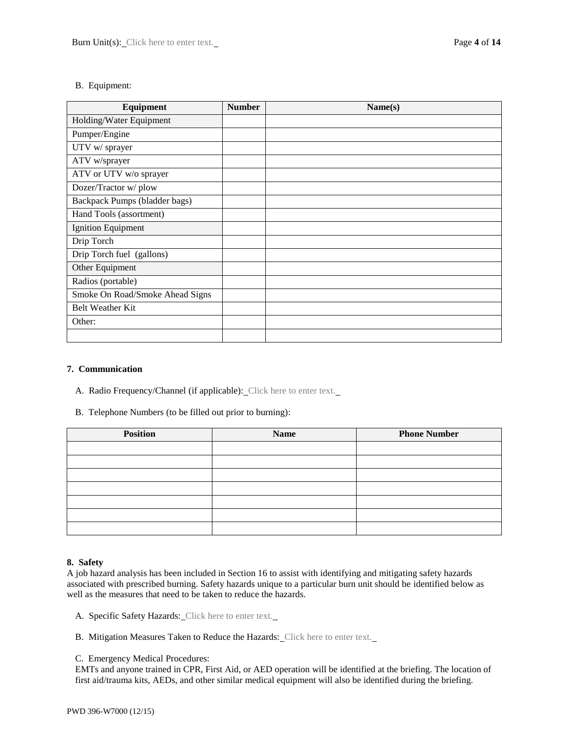# B. Equipment:

| Equipment                       | <b>Number</b> | Name(s) |
|---------------------------------|---------------|---------|
| Holding/Water Equipment         |               |         |
| Pumper/Engine                   |               |         |
| UTV w/ sprayer                  |               |         |
| ATV w/sprayer                   |               |         |
| ATV or UTV w/o sprayer          |               |         |
| Dozer/Tractor w/plow            |               |         |
| Backpack Pumps (bladder bags)   |               |         |
| Hand Tools (assortment)         |               |         |
| <b>Ignition Equipment</b>       |               |         |
| Drip Torch                      |               |         |
| Drip Torch fuel (gallons)       |               |         |
| Other Equipment                 |               |         |
| Radios (portable)               |               |         |
| Smoke On Road/Smoke Ahead Signs |               |         |
| <b>Belt Weather Kit</b>         |               |         |
| Other:                          |               |         |
|                                 |               |         |

# **7. Communication**

- A. Radio Frequency/Channel (if applicable): Click here to enter text.
- B. Telephone Numbers (to be filled out prior to burning):

| <b>Position</b> | <b>Name</b> | <b>Phone Number</b> |
|-----------------|-------------|---------------------|
|                 |             |                     |
|                 |             |                     |
|                 |             |                     |
|                 |             |                     |
|                 |             |                     |
|                 |             |                     |
|                 |             |                     |

# **8. Safety**

A job hazard analysis has been included in Section 16 to assist with identifying and mitigating safety hazards associated with prescribed burning. Safety hazards unique to a particular burn unit should be identified below as well as the measures that need to be taken to reduce the hazards.

- A. Specific Safety Hazards: Click here to enter text.
- B. Mitigation Measures Taken to Reduce the Hazards: Click here to enter text.
- C. Emergency Medical Procedures:

EMTs and anyone trained in CPR, First Aid, or AED operation will be identified at the briefing. The location of first aid/trauma kits, AEDs, and other similar medical equipment will also be identified during the briefing.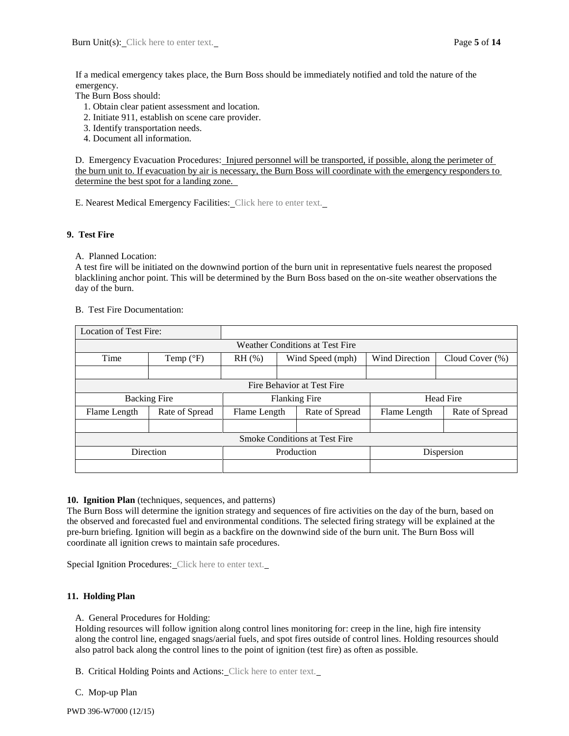If a medical emergency takes place, the Burn Boss should be immediately notified and told the nature of the emergency.

The Burn Boss should:

- 1. Obtain clear patient assessment and location.
- 2. Initiate 911, establish on scene care provider.
- 3. Identify transportation needs.
- 4. Document all information.

D. Emergency Evacuation Procedures: Injured personnel will be transported, if possible, along the perimeter of the burn unit to. If evacuation by air is necessary, the Burn Boss will coordinate with the emergency responders to determine the best spot for a landing zone.

E. Nearest Medical Emergency Facilities: Click here to enter text.

#### **9. Test Fire**

A. Planned Location:

A test fire will be initiated on the downwind portion of the burn unit in representative fuels nearest the proposed blacklining anchor point. This will be determined by the Burn Boss based on the on-site weather observations the day of the burn.

#### B. Test Fire Documentation:

| <b>Location of Test Fire:</b>        |                                 |                                |                            |                       |                    |  |
|--------------------------------------|---------------------------------|--------------------------------|----------------------------|-----------------------|--------------------|--|
|                                      | Weather Conditions at Test Fire |                                |                            |                       |                    |  |
| Time                                 | Temp $(^{\circ}F)$              | $RH$ (%)<br>Wind Speed (mph)   |                            | <b>Wind Direction</b> | Cloud Cover $(\%)$ |  |
|                                      |                                 |                                |                            |                       |                    |  |
|                                      |                                 |                                | Fire Behavior at Test Fire |                       |                    |  |
| <b>Backing Fire</b>                  |                                 | <b>Flanking Fire</b>           |                            | <b>Head Fire</b>      |                    |  |
| Flame Length                         | Rate of Spread                  | Rate of Spread<br>Flame Length |                            | Flame Length          | Rate of Spread     |  |
|                                      |                                 |                                |                            |                       |                    |  |
| <b>Smoke Conditions at Test Fire</b> |                                 |                                |                            |                       |                    |  |
| Direction                            |                                 | Production                     |                            |                       | Dispersion         |  |
|                                      |                                 |                                |                            |                       |                    |  |

#### **10. Ignition Plan** (techniques, sequences, and patterns)

The Burn Boss will determine the ignition strategy and sequences of fire activities on the day of the burn, based on the observed and forecasted fuel and environmental conditions. The selected firing strategy will be explained at the pre-burn briefing. Ignition will begin as a backfire on the downwind side of the burn unit. The Burn Boss will coordinate all ignition crews to maintain safe procedures.

Special Ignition Procedures: Click here to enter text.

# **11. Holding Plan**

A. General Procedures for Holding:

Holding resources will follow ignition along control lines monitoring for: creep in the line, high fire intensity along the control line, engaged snags/aerial fuels, and spot fires outside of control lines. Holding resources should also patrol back along the control lines to the point of ignition (test fire) as often as possible.

B. Critical Holding Points and Actions: Click here to enter text.

C. Mop-up Plan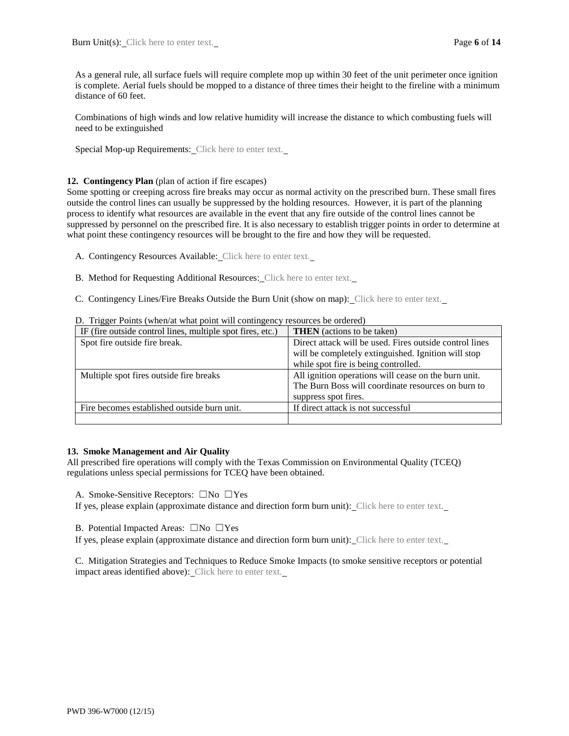As a general rule, all surface fuels will require complete mop up within 30 feet of the unit perimeter once ignition is complete. Aerial fuels should be mopped to a distance of three times their height to the fireline with a minimum distance of 60 feet.

Combinations of high winds and low relative humidity will increase the distance to which combusting fuels will need to be extinguished

Special Mop-up Requirements: Click here to enter text.

#### **12. Contingency Plan** (plan of action if fire escapes)

Some spotting or creeping across fire breaks may occur as normal activity on the prescribed burn. These small fires outside the control lines can usually be suppressed by the holding resources. However, it is part of the planning process to identify what resources are available in the event that any fire outside of the control lines cannot be suppressed by personnel on the prescribed fire. It is also necessary to establish trigger points in order to determine at what point these contingency resources will be brought to the fire and how they will be requested.

A. Contingency Resources Available: Click here to enter text.

B. Method for Requesting Additional Resources: Click here to enter text.

C. Contingency Lines/Fire Breaks Outside the Burn Unit (show on map): Click here to enter text.

| IF (fire outside control lines, multiple spot fires, etc.) | <b>THEN</b> (actions to be taken)                       |
|------------------------------------------------------------|---------------------------------------------------------|
| Spot fire outside fire break.                              | Direct attack will be used. Fires outside control lines |
|                                                            | will be completely extinguished. Ignition will stop     |
|                                                            | while spot fire is being controlled.                    |
| Multiple spot fires outside fire breaks                    | All ignition operations will cease on the burn unit.    |
|                                                            | The Burn Boss will coordinate resources on burn to      |
|                                                            | suppress spot fires.                                    |
| Fire becomes established outside burn unit.                | If direct attack is not successful                      |
|                                                            |                                                         |

D. Trigger Points (when/at what point will contingency resources be ordered)

# **13. Smoke Management and Air Quality**

All prescribed fire operations will comply with the Texas Commission on Environmental Quality (TCEQ) regulations unless special permissions for TCEQ have been obtained.

A. Smoke-Sensitive Receptors: ☐No ☐Yes

If yes, please explain (approximate distance and direction form burn unit): Click here to enter text.

B. Potential Impacted Areas: ☐No ☐Yes

If yes, please explain (approximate distance and direction form burn unit): Click here to enter text.

C. Mitigation Strategies and Techniques to Reduce Smoke Impacts (to smoke sensitive receptors or potential impact areas identified above): Click here to enter text.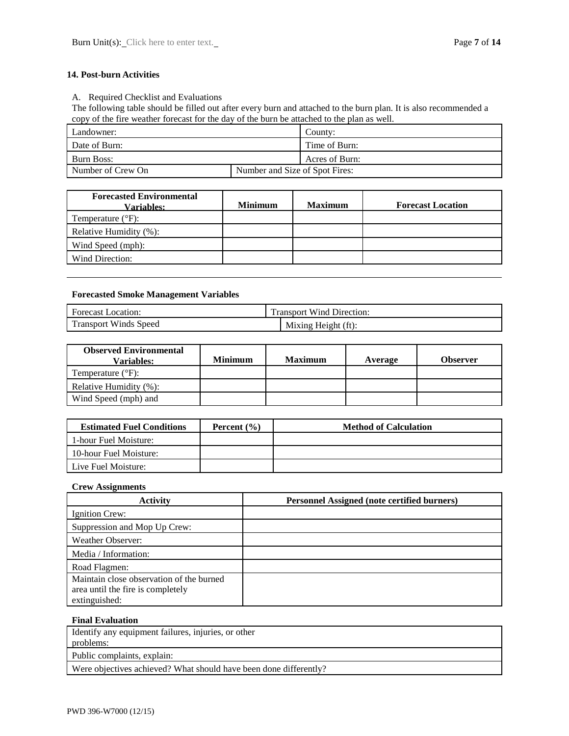# **14. Post-burn Activities**

A. Required Checklist and Evaluations

The following table should be filled out after every burn and attached to the burn plan. It is also recommended a copy of the fire weather forecast for the day of the burn be attached to the plan as well.

| Landowner:        |                                | $\text{Country}$ |
|-------------------|--------------------------------|------------------|
| Date of Burn:     |                                | Time of Burn:    |
| Burn Boss:        |                                | Acres of Burn:   |
| Number of Crew On | Number and Size of Spot Fires: |                  |
|                   |                                |                  |

| <b>Forecasted Environmental</b><br><b>Variables:</b> | <b>Minimum</b> | <b>Maximum</b> | <b>Forecast Location</b> |
|------------------------------------------------------|----------------|----------------|--------------------------|
| Temperature $(^{\circ}F)$ :                          |                |                |                          |
| Relative Humidity (%):                               |                |                |                          |
| Wind Speed (mph):                                    |                |                |                          |
| Wind Direction:                                      |                |                |                          |

# **Forecasted Smoke Management Variables**

| <b>Forecast Location:</b>    | <b>Transport Wind Direction:</b> |  |
|------------------------------|----------------------------------|--|
| <b>Transport Winds Speed</b> | Mixing Height (ft):              |  |
|                              |                                  |  |

| <b>Observed Environmental</b><br>Variables: | <b>Minimum</b> | <b>Maximum</b> | Average | Observer |
|---------------------------------------------|----------------|----------------|---------|----------|
| Temperature $(^{\circ}F)$ :                 |                |                |         |          |
| Relative Humidity (%):                      |                |                |         |          |
| Wind Speed (mph) and                        |                |                |         |          |
|                                             |                |                |         |          |

| <b>Estimated Fuel Conditions</b> | Percent $(\% )$ | <b>Method of Calculation</b> |
|----------------------------------|-----------------|------------------------------|
| 1-hour Fuel Moisture:            |                 |                              |
| 10-hour Fuel Moisture:           |                 |                              |
| Live Fuel Moisture:              |                 |                              |

# **Crew Assignments**

| <b>Activity</b>                          | <b>Personnel Assigned (note certified burners)</b> |
|------------------------------------------|----------------------------------------------------|
| Ignition Crew:                           |                                                    |
| Suppression and Mop Up Crew:             |                                                    |
| <b>Weather Observer:</b>                 |                                                    |
| Media / Information:                     |                                                    |
| Road Flagmen:                            |                                                    |
| Maintain close observation of the burned |                                                    |
| area until the fire is completely        |                                                    |
| extinguished:                            |                                                    |

#### **Final Evaluation**

Identify any equipment failures, injuries, or other problems:

Public complaints, explain:

Were objectives achieved? What should have been done differently?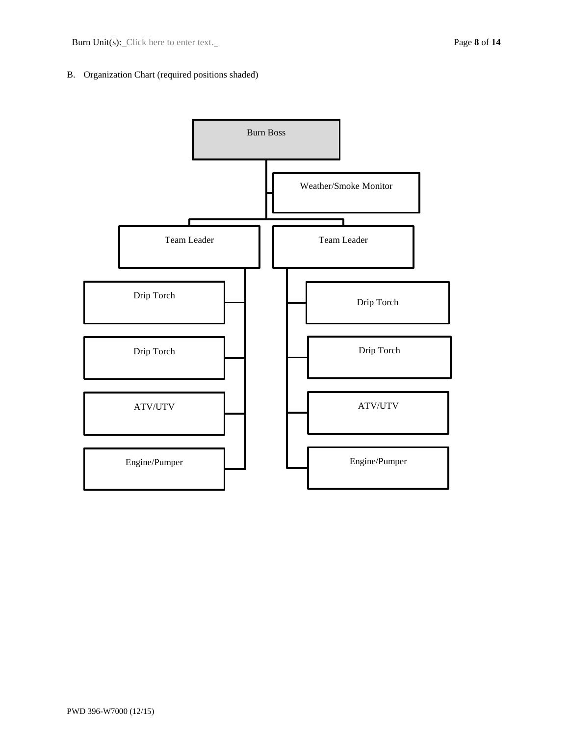# B. Organization Chart (required positions shaded)

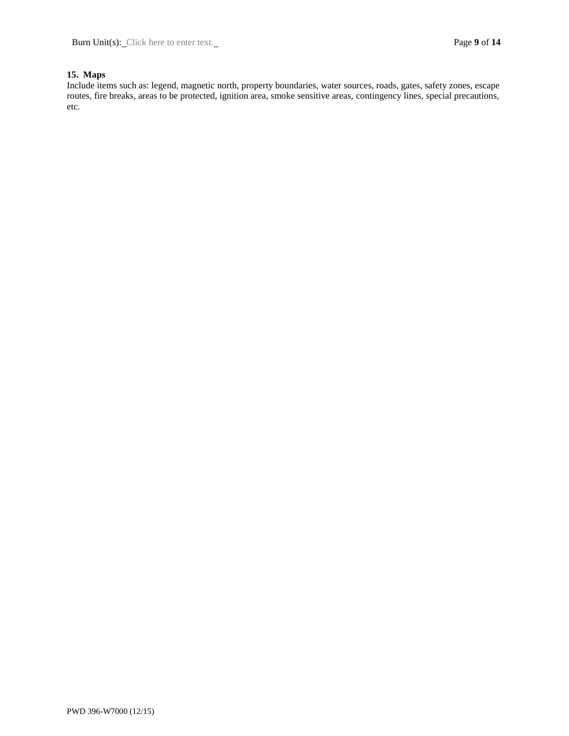# **15. Maps**

Include items such as: legend, magnetic north, property boundaries, water sources, roads, gates, safety zones, escape routes, fire breaks, areas to be protected, ignition area, smoke sensitive areas, contingency lines, special precautions, etc.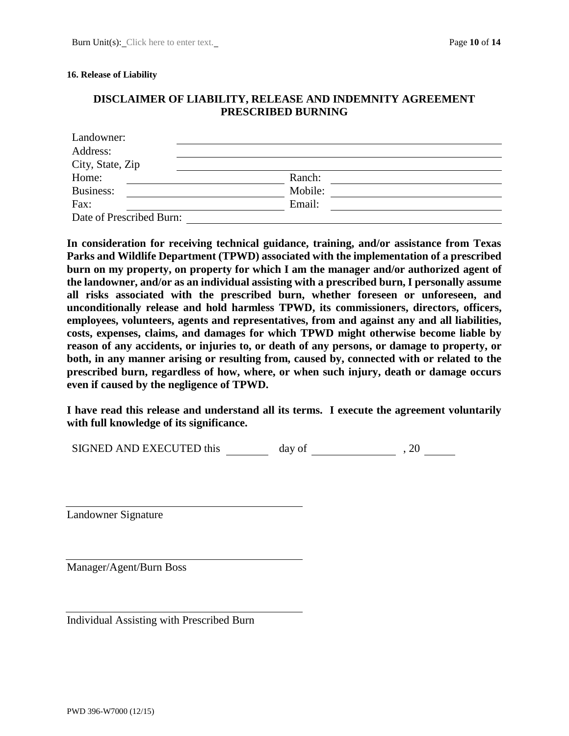#### **16. Release of Liability**

# **DISCLAIMER OF LIABILITY, RELEASE AND INDEMNITY AGREEMENT PRESCRIBED BURNING**

| Landowner:               |         |  |  |  |
|--------------------------|---------|--|--|--|
| Address:                 |         |  |  |  |
| City, State, Zip         |         |  |  |  |
| Home:                    | Ranch:  |  |  |  |
| Business:                | Mobile: |  |  |  |
| Fax:                     | Email:  |  |  |  |
| Date of Prescribed Burn: |         |  |  |  |

**In consideration for receiving technical guidance, training, and/or assistance from Texas Parks and Wildlife Department (TPWD) associated with the implementation of a prescribed burn on my property, on property for which I am the manager and/or authorized agent of the landowner, and/or as an individual assisting with a prescribed burn, I personally assume all risks associated with the prescribed burn, whether foreseen or unforeseen, and unconditionally release and hold harmless TPWD, its commissioners, directors, officers, employees, volunteers, agents and representatives, from and against any and all liabilities, costs, expenses, claims, and damages for which TPWD might otherwise become liable by reason of any accidents, or injuries to, or death of any persons, or damage to property, or both, in any manner arising or resulting from, caused by, connected with or related to the prescribed burn, regardless of how, where, or when such injury, death or damage occurs even if caused by the negligence of TPWD.** 

**I have read this release and understand all its terms. I execute the agreement voluntarily with full knowledge of its significance.**

SIGNED AND EXECUTED this day of , 20

Landowner Signature

Manager/Agent/Burn Boss

Individual Assisting with Prescribed Burn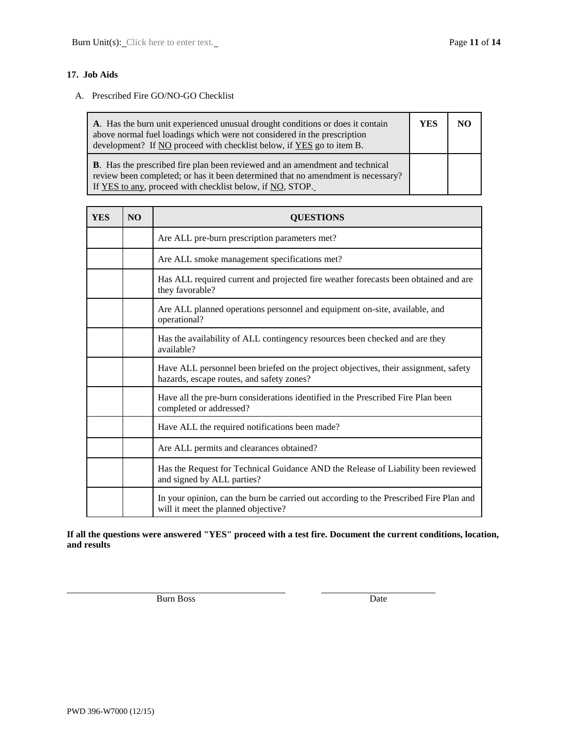# **17. Job Aids**

#### A. Prescribed Fire GO/NO-GO Checklist

| A. Has the burn unit experienced unusual drought conditions or does it contain<br>above normal fuel loadings which were not considered in the prescription<br>development? If NO proceed with checklist below, if YES go to item B.  |  | NO. |
|--------------------------------------------------------------------------------------------------------------------------------------------------------------------------------------------------------------------------------------|--|-----|
| <b>B.</b> Has the prescribed fire plan been reviewed and an amendment and technical<br>review been completed; or has it been determined that no amendment is necessary?<br>If YES to any, proceed with checklist below, if NO, STOP. |  |     |

| <b>YES</b> | <b>NO</b> | <b>QUESTIONS</b>                                                                                                                 |  |
|------------|-----------|----------------------------------------------------------------------------------------------------------------------------------|--|
|            |           | Are ALL pre-burn prescription parameters met?                                                                                    |  |
|            |           | Are ALL smoke management specifications met?                                                                                     |  |
|            |           | Has ALL required current and projected fire weather forecasts been obtained and are<br>they favorable?                           |  |
|            |           | Are ALL planned operations personnel and equipment on-site, available, and<br>operational?                                       |  |
|            |           | Has the availability of ALL contingency resources been checked and are they<br>available?                                        |  |
|            |           | Have ALL personnel been briefed on the project objectives, their assignment, safety<br>hazards, escape routes, and safety zones? |  |
|            |           | Have all the pre-burn considerations identified in the Prescribed Fire Plan been<br>completed or addressed?                      |  |
|            |           | Have ALL the required notifications been made?                                                                                   |  |
|            |           | Are ALL permits and clearances obtained?                                                                                         |  |
|            |           | Has the Request for Technical Guidance AND the Release of Liability been reviewed<br>and signed by ALL parties?                  |  |
|            |           | In your opinion, can the burn be carried out according to the Prescribed Fire Plan and<br>will it meet the planned objective?    |  |

**If all the questions were answered "YES" proceed with a test fire. Document the current conditions, location, and results**

Burn Boss Date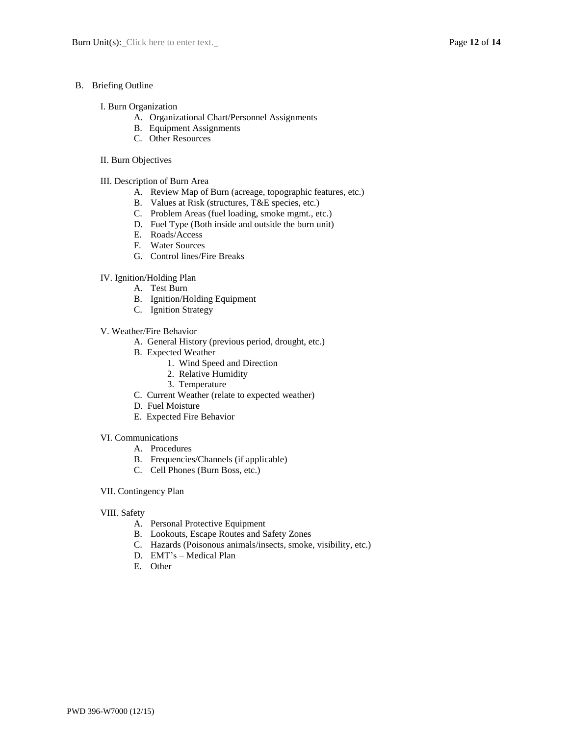#### B. Briefing Outline

#### I. Burn Organization

- A. Organizational Chart/Personnel Assignments
- B. Equipment Assignments
- C. Other Resources

#### II. Burn Objectives

- III. Description of Burn Area
	- A. Review Map of Burn (acreage, topographic features, etc.)
	- B. Values at Risk (structures, T&E species, etc.)
	- C. Problem Areas (fuel loading, smoke mgmt., etc.)
	- D. Fuel Type (Both inside and outside the burn unit)
	- E. Roads/Access
	- F. Water Sources
	- G. Control lines/Fire Breaks
- IV. Ignition/Holding Plan
	- A. Test Burn
		- B. Ignition/Holding Equipment
		- C. Ignition Strategy
- V. Weather/Fire Behavior
	- A. General History (previous period, drought, etc.)
	- B. Expected Weather
		- 1. Wind Speed and Direction
		- 2. Relative Humidity
		- 3. Temperature
	- C. Current Weather (relate to expected weather)
	- D. Fuel Moisture
	- E. Expected Fire Behavior

#### VI. Communications

- A. Procedures
- B. Frequencies/Channels (if applicable)
- C. Cell Phones (Burn Boss, etc.)
- VII. Contingency Plan

#### VIII. Safety

- A. Personal Protective Equipment
- B. Lookouts, Escape Routes and Safety Zones
- C. Hazards (Poisonous animals/insects, smoke, visibility, etc.)
- D. EMT's Medical Plan
- E. Other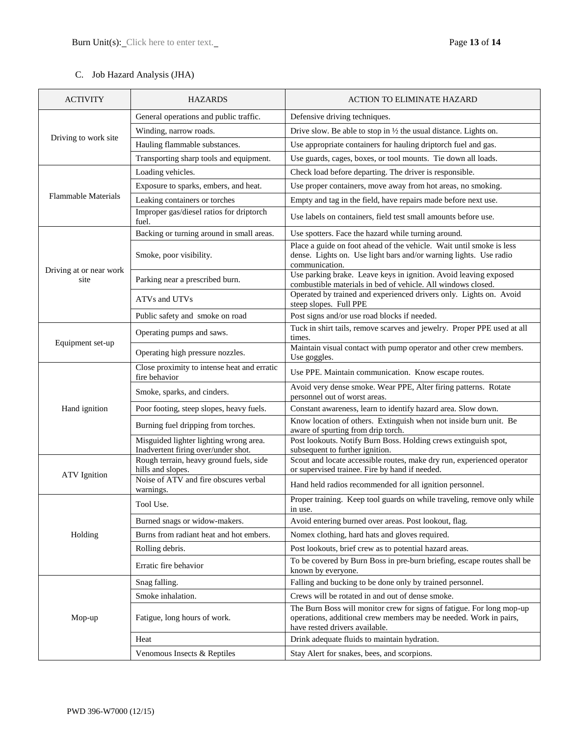# C. Job Hazard Analysis (JHA)

| <b>ACTIVITY</b>                 | <b>HAZARDS</b>                                                                | <b>ACTION TO ELIMINATE HAZARD</b>                                                                                                                                            |
|---------------------------------|-------------------------------------------------------------------------------|------------------------------------------------------------------------------------------------------------------------------------------------------------------------------|
|                                 | General operations and public traffic.                                        | Defensive driving techniques.                                                                                                                                                |
|                                 | Winding, narrow roads.                                                        | Drive slow. Be able to stop in $\frac{1}{2}$ the usual distance. Lights on.                                                                                                  |
| Driving to work site            | Hauling flammable substances.                                                 | Use appropriate containers for hauling driptorch fuel and gas.                                                                                                               |
|                                 | Transporting sharp tools and equipment.                                       | Use guards, cages, boxes, or tool mounts. Tie down all loads.                                                                                                                |
|                                 | Loading vehicles.                                                             | Check load before departing. The driver is responsible.                                                                                                                      |
|                                 | Exposure to sparks, embers, and heat.                                         | Use proper containers, move away from hot areas, no smoking.                                                                                                                 |
| <b>Flammable Materials</b>      | Leaking containers or torches                                                 | Empty and tag in the field, have repairs made before next use.                                                                                                               |
|                                 | Improper gas/diesel ratios for driptorch<br>fuel.                             | Use labels on containers, field test small amounts before use.                                                                                                               |
|                                 | Backing or turning around in small areas.                                     | Use spotters. Face the hazard while turning around.                                                                                                                          |
|                                 | Smoke, poor visibility.                                                       | Place a guide on foot ahead of the vehicle. Wait until smoke is less<br>dense. Lights on. Use light bars and/or warning lights. Use radio<br>communication.                  |
| Driving at or near work<br>site | Parking near a prescribed burn.                                               | Use parking brake. Leave keys in ignition. Avoid leaving exposed<br>combustible materials in bed of vehicle. All windows closed.                                             |
|                                 | ATVs and UTVs                                                                 | Operated by trained and experienced drivers only. Lights on. Avoid<br>steep slopes. Full PPE                                                                                 |
|                                 | Public safety and smoke on road                                               | Post signs and/or use road blocks if needed.                                                                                                                                 |
| Equipment set-up                | Operating pumps and saws.                                                     | Tuck in shirt tails, remove scarves and jewelry. Proper PPE used at all<br>times.                                                                                            |
|                                 | Operating high pressure nozzles.                                              | Maintain visual contact with pump operator and other crew members.<br>Use goggles.                                                                                           |
|                                 | Close proximity to intense heat and erratic<br>fire behavior                  | Use PPE. Maintain communication. Know escape routes.                                                                                                                         |
|                                 | Smoke, sparks, and cinders.                                                   | Avoid very dense smoke. Wear PPE, Alter firing patterns. Rotate<br>personnel out of worst areas.                                                                             |
| Hand ignition                   | Poor footing, steep slopes, heavy fuels.                                      | Constant awareness, learn to identify hazard area. Slow down.                                                                                                                |
|                                 | Burning fuel dripping from torches.                                           | Know location of others. Extinguish when not inside burn unit. Be<br>aware of spurting from drip torch.                                                                      |
|                                 | Misguided lighter lighting wrong area.<br>Inadvertent firing over/under shot. | Post lookouts. Notify Burn Boss. Holding crews extinguish spot,<br>subsequent to further ignition.                                                                           |
|                                 | Rough terrain, heavy ground fuels, side<br>hills and slopes.                  | Scout and locate accessible routes, make dry run, experienced operator<br>or supervised trainee. Fire by hand if needed.                                                     |
| <b>ATV</b> Ignition             | Noise of ATV and fire obscures verbal<br>warnings.                            | Hand held radios recommended for all ignition personnel.                                                                                                                     |
|                                 | Tool Use.                                                                     | Proper training. Keep tool guards on while traveling, remove only while<br>in use.                                                                                           |
|                                 | Burned snags or widow-makers.                                                 | Avoid entering burned over areas. Post lookout, flag.                                                                                                                        |
| Holding                         | Burns from radiant heat and hot embers.                                       | Nomex clothing, hard hats and gloves required.                                                                                                                               |
|                                 | Rolling debris.                                                               | Post lookouts, brief crew as to potential hazard areas.                                                                                                                      |
|                                 | Erratic fire behavior                                                         | To be covered by Burn Boss in pre-burn briefing, escape routes shall be<br>known by everyone.                                                                                |
|                                 | Snag falling.                                                                 | Falling and bucking to be done only by trained personnel.                                                                                                                    |
|                                 | Smoke inhalation.                                                             | Crews will be rotated in and out of dense smoke.                                                                                                                             |
| Mop-up                          | Fatigue, long hours of work.                                                  | The Burn Boss will monitor crew for signs of fatigue. For long mop-up<br>operations, additional crew members may be needed. Work in pairs,<br>have rested drivers available. |
|                                 | Heat                                                                          | Drink adequate fluids to maintain hydration.                                                                                                                                 |
|                                 | Venomous Insects & Reptiles                                                   | Stay Alert for snakes, bees, and scorpions.                                                                                                                                  |